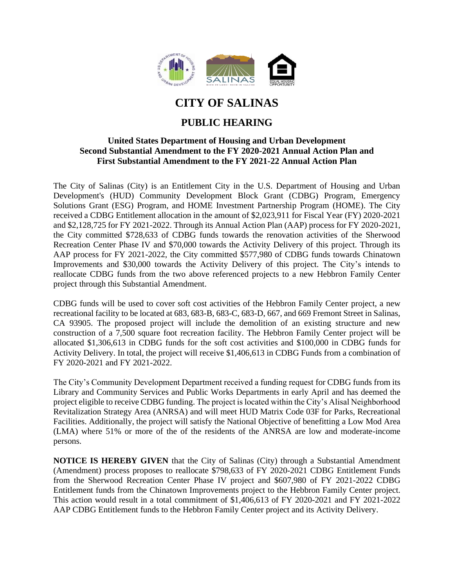

## **CITY OF SALINAS**

## **PUBLIC HEARING**

## **United States Department of Housing and Urban Development Second Substantial Amendment to the FY 2020-2021 Annual Action Plan and First Substantial Amendment to the FY 2021-22 Annual Action Plan**

The City of Salinas (City) is an Entitlement City in the U.S. Department of Housing and Urban Development's (HUD) Community Development Block Grant (CDBG) Program, Emergency Solutions Grant (ESG) Program, and HOME Investment Partnership Program (HOME). The City received a CDBG Entitlement allocation in the amount of \$2,023,911 for Fiscal Year (FY) 2020-2021 and \$2,128,725 for FY 2021-2022. Through its Annual Action Plan (AAP) process for FY 2020-2021, the City committed \$728,633 of CDBG funds towards the renovation activities of the Sherwood Recreation Center Phase IV and \$70,000 towards the Activity Delivery of this project. Through its AAP process for FY 2021-2022, the City committed \$577,980 of CDBG funds towards Chinatown Improvements and \$30,000 towards the Activity Delivery of this project. The City's intends to reallocate CDBG funds from the two above referenced projects to a new Hebbron Family Center project through this Substantial Amendment.

CDBG funds will be used to cover soft cost activities of the Hebbron Family Center project, a new recreational facility to be located at 683, 683-B, 683-C, 683-D, 667, and 669 Fremont Street in Salinas, CA 93905. The proposed project will include the demolition of an existing structure and new construction of a 7,500 square foot recreation facility. The Hebbron Family Center project will be allocated \$1,306,613 in CDBG funds for the soft cost activities and \$100,000 in CDBG funds for Activity Delivery. In total, the project will receive \$1,406,613 in CDBG Funds from a combination of FY 2020-2021 and FY 2021-2022.

The City's Community Development Department received a funding request for CDBG funds from its Library and Community Services and Public Works Departments in early April and has deemed the project eligible to receive CDBG funding. The project is located within the City's Alisal Neighborhood Revitalization Strategy Area (ANRSA) and will meet HUD Matrix Code 03F for Parks, Recreational Facilities. Additionally, the project will satisfy the National Objective of benefitting a Low Mod Area (LMA) where 51% or more of the of the residents of the ANRSA are low and moderate-income persons.

**NOTICE IS HEREBY GIVEN** that the City of Salinas (City) through a Substantial Amendment (Amendment) process proposes to reallocate \$798,633 of FY 2020-2021 CDBG Entitlement Funds from the Sherwood Recreation Center Phase IV project and \$607,980 of FY 2021-2022 CDBG Entitlement funds from the Chinatown Improvements project to the Hebbron Family Center project. This action would result in a total commitment of \$1,406,613 of FY 2020-2021 and FY 2021-2022 AAP CDBG Entitlement funds to the Hebbron Family Center project and its Activity Delivery.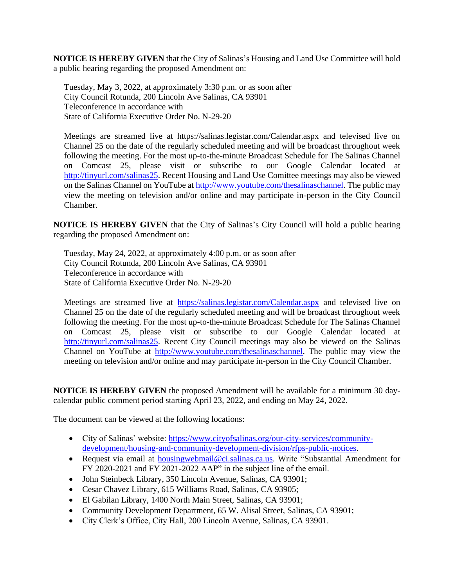**NOTICE IS HEREBY GIVEN** that the City of Salinas's Housing and Land Use Committee will hold a public hearing regarding the proposed Amendment on:

Tuesday, May 3, 2022, at approximately 3:30 p.m. or as soon after City Council Rotunda, 200 Lincoln Ave Salinas, CA 93901 Teleconference in accordance with State of California Executive Order No. N-29-20

Meetings are streamed live at https://salinas.legistar.com/Calendar.aspx and televised live on Channel 25 on the date of the regularly scheduled meeting and will be broadcast throughout week following the meeting. For the most up-to-the-minute Broadcast Schedule for The Salinas Channel on Comcast 25, please visit or subscribe to our Google Calendar located at [http://tinyurl.com/salinas25.](http://tinyurl.com/salinas25) Recent Housing and Land Use Comittee meetings may also be viewed on the Salinas Channel on YouTube at [http://www.youtube.com/thesalinaschannel.](http://www.youtube.com/thesalinaschannel) The public may view the meeting on television and/or online and may participate in-person in the City Council Chamber.

**NOTICE IS HEREBY GIVEN** that the City of Salinas's City Council will hold a public hearing regarding the proposed Amendment on:

Tuesday, May 24, 2022, at approximately 4:00 p.m. or as soon after City Council Rotunda, 200 Lincoln Ave Salinas, CA 93901 Teleconference in accordance with State of California Executive Order No. N-29-20

Meetings are streamed live at <https://salinas.legistar.com/Calendar.aspx> and televised live on Channel 25 on the date of the regularly scheduled meeting and will be broadcast throughout week following the meeting. For the most up-to-the-minute Broadcast Schedule for The Salinas Channel on Comcast 25, please visit or subscribe to our Google Calendar located at [http://tinyurl.com/salinas25.](http://tinyurl.com/salinas25) Recent City Council meetings may also be viewed on the Salinas Channel on YouTube at [http://www.youtube.com/thesalinaschannel.](http://www.youtube.com/thesalinaschannel) The public may view the meeting on television and/or online and may participate in-person in the City Council Chamber.

**NOTICE IS HEREBY GIVEN** the proposed Amendment will be available for a minimum 30 daycalendar public comment period starting April 23, 2022, and ending on May 24, 2022.

The document can be viewed at the following locations:

- City of Salinas' website: [https://www.cityofsalinas.org/our-city-services/community](https://www.cityofsalinas.org/our-city-services/community-development/housing-and-community-development-division/rfps-public-notices)[development/housing-and-community-development-division/rfps-public-notices.](https://www.cityofsalinas.org/our-city-services/community-development/housing-and-community-development-division/rfps-public-notices)
- Request via email at [housingwebmail@ci.salinas.ca.us.](mailto:housingwebmail@ci.salinas.ca.us) Write "Substantial Amendment for FY 2020-2021 and FY 2021-2022 AAP" in the subject line of the email.
- John Steinbeck Library, 350 Lincoln Avenue, Salinas, CA 93901;
- Cesar Chavez Library, 615 Williams Road, Salinas, CA 93905;
- El Gabilan Library, 1400 North Main Street, Salinas, CA 93901;
- Community Development Department, 65 W. Alisal Street, Salinas, CA 93901;
- City Clerk's Office, City Hall, 200 Lincoln Avenue, Salinas, CA 93901.